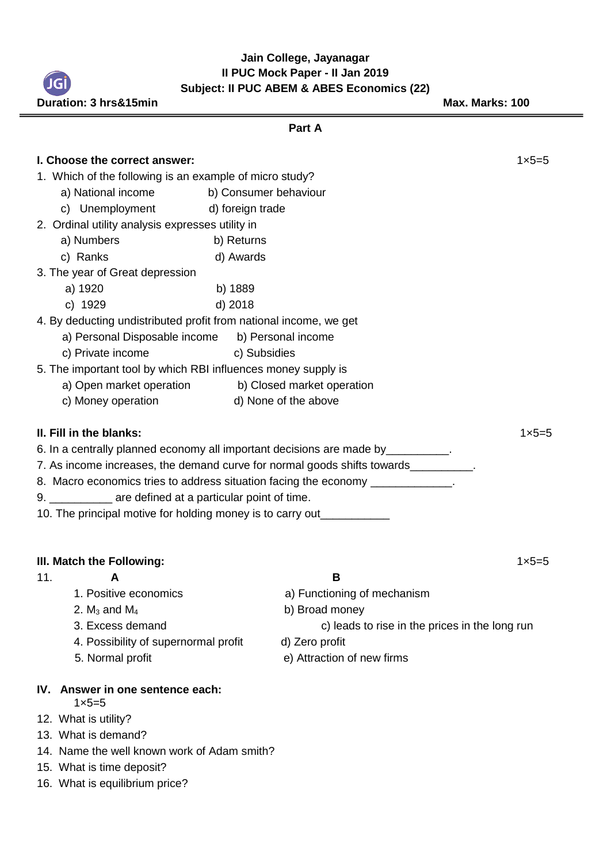**Jain College, Jayanagar II PUC Mock Paper - II Jan 2019 Subject: II PUC ABEM & ABES Economics (22)**

**Duration: 3 hrs&15min Max. Marks: 100 Part A I. Choose the correct answer:**  $1 \times 5=5$ 1. Which of the following is an example of micro study? a) National income b) Consumer behaviour c) Unemployment d) foreign trade 2. Ordinal utility analysis expresses utility in a) Numbers b) Returns c) Ranks d) Awards 3. The year of Great depression a) 1920 b) 1889 c) 1929 d) 2018 4. By deducting undistributed profit from national income, we get a) Personal Disposable income b) Personal income c) Private income c) Subsidies 5. The important tool by which RBI influences money supply is a) Open market operation b) Closed market operation c) Money operation d) None of the above **II. Fill in the blanks:** 1×5=5 6. In a centrally planned economy all important decisions are made by\_\_\_\_\_\_\_\_\_\_. 7. As income increases, the demand curve for normal goods shifts towards 8. Macro economics tries to address situation facing the economy \_\_\_\_\_\_\_\_\_\_\_\_\_\_\_ 9. \_\_\_\_\_\_\_\_\_\_ are defined at a particular point of time. 10. The principal motive for holding money is to carry out **III. Match the Following:** 1×5=5 11. **A B** 1. Positive economics a) Functioning of mechanism 2.  $M_3$  and  $M_4$  b) Broad money 3. Excess demand c) leads to rise in the prices in the long run 4. Possibility of supernormal profit d) Zero profit

# **IV. Answer in one sentence each:**

- $1 \times 5 = 5$
- 12. What is utility?
- 13. What is demand?
- 14. Name the well known work of Adam smith?
- 15. What is time deposit?
- 16. What is equilibrium price?
- 
- 5. Normal profit e) Attraction of new firms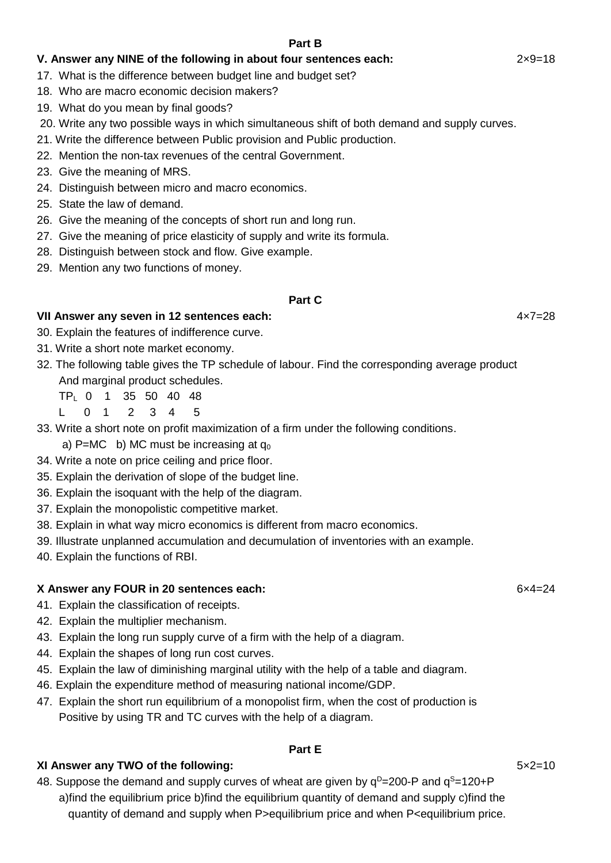## **V. Answer any NINE of the following in about four sentences each:** 2×9=18

- 17. What is the difference between budget line and budget set?
- 18. Who are macro economic decision makers?
- 19. What do you mean by final goods?
- 20. Write any two possible ways in which simultaneous shift of both demand and supply curves.
- 21. Write the difference between Public provision and Public production.
- 22. Mention the non-tax revenues of the central Government.
- 23. Give the meaning of MRS.
- 24. Distinguish between micro and macro economics.
- 25. State the law of demand.
- 26. Give the meaning of the concepts of short run and long run.
- 27. Give the meaning of price elasticity of supply and write its formula.
- 28. Distinguish between stock and flow. Give example.
- 29. Mention any two functions of money.

#### **Part C**

#### **VII Answer any seven in 12 sentences each:** 4×7=28

- 30. Explain the features of indifference curve.
- 31. Write a short note market economy.
- 32. The following table gives the TP schedule of labour. Find the corresponding average product And marginal product schedules.
	- TPL 0 1 35 50 40 48
	- L 0 1 2 3 4 5

#### 33. Write a short note on profit maximization of a firm under the following conditions.

- a) P=MC b) MC must be increasing at  $q_0$
- 34. Write a note on price ceiling and price floor.
- 35. Explain the derivation of slope of the budget line.
- 36. Explain the isoquant with the help of the diagram.
- 37. Explain the monopolistic competitive market.
- 38. Explain in what way micro economics is different from macro economics.
- 39. Illustrate unplanned accumulation and decumulation of inventories with an example.
- 40. Explain the functions of RBI.

#### **X Answer any FOUR in 20 sentences each:** 6×4=24

- 41. Explain the classification of receipts.
- 42. Explain the multiplier mechanism.
- 43. Explain the long run supply curve of a firm with the help of a diagram.
- 44.Explain the shapes of long run cost curves.
- 45. Explain the law of diminishing marginal utility with the help of a table and diagram.
- 46. Explain the expenditure method of measuring national income/GDP.
- 47. Explain the short run equilibrium of a monopolist firm, when the cost of production is Positive by using TR and TC curves with the help of a diagram.

## **Part E**

## **XI Answer any TWO of the following:** 5×2=10

48. Suppose the demand and supply curves of wheat are given by  $q^D=200$ -P and  $q^S=120+P$  a)find the equilibrium price b)find the equilibrium quantity of demand and supply c)find the quantity of demand and supply when P>equilibrium price and when P<equilibrium price.